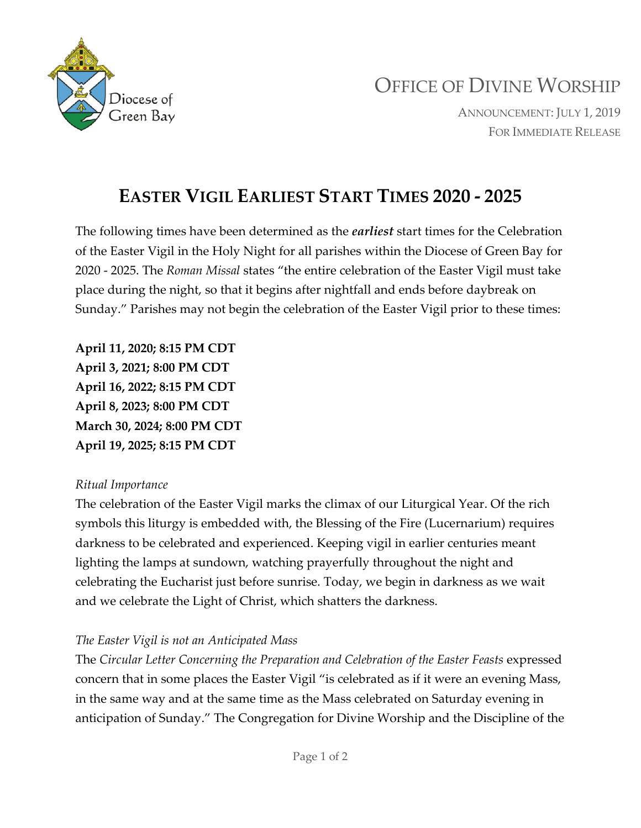

# OFFICE OF DIVINE WORSHIP

ANNOUNCEMENT: JULY 1, 2019 FOR IMMEDIATE RELEASE

## **EASTER VIGIL EARLIEST START TIMES 2020 - 2025**

The following times have been determined as the *earliest* start times for the Celebration of the Easter Vigil in the Holy Night for all parishes within the Diocese of Green Bay for 2020 - 2025. The *Roman Missal* states "the entire celebration of the Easter Vigil must take place during the night, so that it begins after nightfall and ends before daybreak on Sunday." Parishes may not begin the celebration of the Easter Vigil prior to these times:

**April 11, 2020; 8:15 PM CDT April 3, 2021; 8:00 PM CDT April 16, 2022; 8:15 PM CDT April 8, 2023; 8:00 PM CDT March 30, 2024; 8:00 PM CDT April 19, 2025; 8:15 PM CDT**

#### *Ritual Importance*

The celebration of the Easter Vigil marks the climax of our Liturgical Year. Of the rich symbols this liturgy is embedded with, the Blessing of the Fire (Lucernarium) requires darkness to be celebrated and experienced. Keeping vigil in earlier centuries meant lighting the lamps at sundown, watching prayerfully throughout the night and celebrating the Eucharist just before sunrise. Today, we begin in darkness as we wait and we celebrate the Light of Christ, which shatters the darkness.

#### *The Easter Vigil is not an Anticipated Mass*

The *Circular Letter Concerning the Preparation and Celebration of the Easter Feasts* expressed concern that in some places the Easter Vigil "is celebrated as if it were an evening Mass, in the same way and at the same time as the Mass celebrated on Saturday evening in anticipation of Sunday." The Congregation for Divine Worship and the Discipline of the